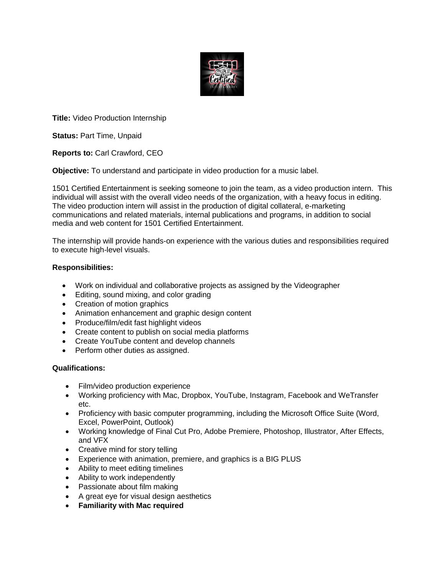

**Title:** Video Production Internship

**Status:** Part Time, Unpaid

**Reports to:** Carl Crawford, CEO

**Objective:** To understand and participate in video production for a music label.

1501 Certified Entertainment is seeking someone to join the team, as a video production intern. This individual will assist with the overall video needs of the organization, with a heavy focus in editing. The video production intern will assist in the production of digital collateral, e-marketing communications and related materials, internal publications and programs, in addition to social media and web content for 1501 Certified Entertainment.

The internship will provide hands-on experience with the various duties and responsibilities required to execute high-level visuals.

# **Responsibilities:**

- Work on individual and collaborative projects as assigned by the Videographer
- Editing, sound mixing, and color grading
- Creation of motion graphics
- Animation enhancement and graphic design content
- Produce/film/edit fast highlight videos
- Create content to publish on social media platforms
- Create YouTube content and develop channels
- Perform other duties as assigned.

# **Qualifications:**

- Film/video production experience
- Working proficiency with Mac, Dropbox, YouTube, Instagram, Facebook and WeTransfer etc.
- Proficiency with basic computer programming, including the Microsoft Office Suite (Word, Excel, PowerPoint, Outlook)
- Working knowledge of Final Cut Pro, Adobe Premiere, Photoshop, Illustrator, After Effects, and VFX
- Creative mind for story telling
- Experience with animation, premiere, and graphics is a BIG PLUS
- Ability to meet editing timelines
- Ability to work independently
- Passionate about film making
- A great eye for visual design aesthetics
- **Familiarity with Mac required**